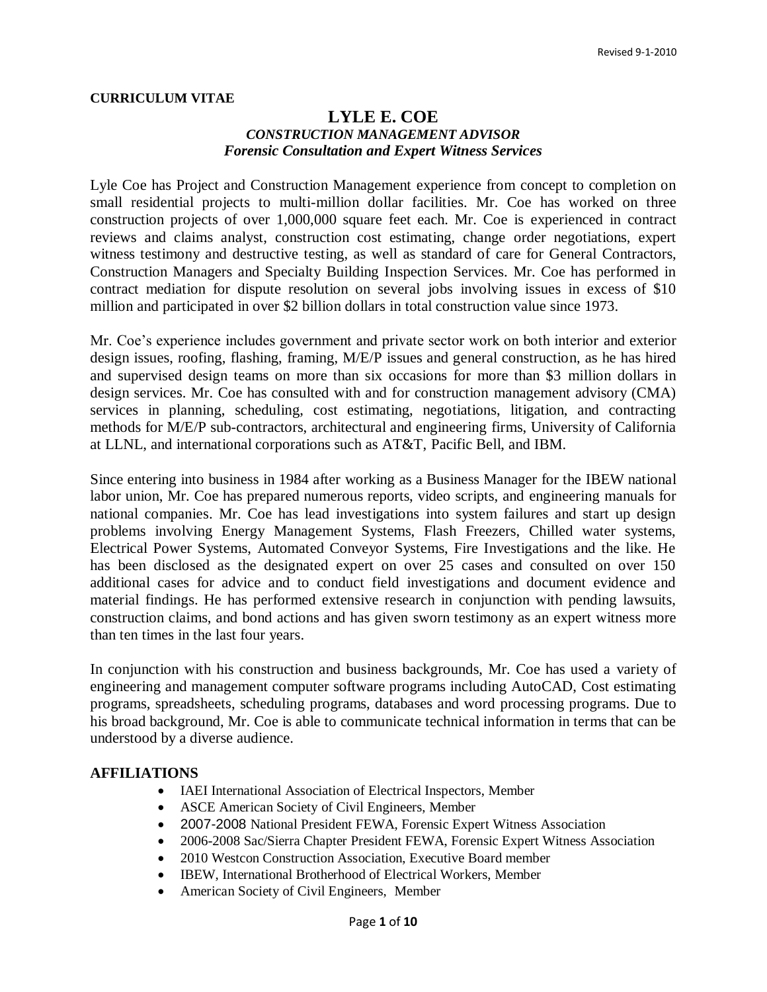#### **CURRICULUM VITAE**

## **LYLE E. COE** *CONSTRUCTION MANAGEMENT ADVISOR Forensic Consultation and Expert Witness Services*

Lyle Coe has Project and Construction Management experience from concept to completion on small residential projects to multi-million dollar facilities. Mr. Coe has worked on three construction projects of over 1,000,000 square feet each. Mr. Coe is experienced in contract reviews and claims analyst, construction cost estimating, change order negotiations, expert witness testimony and destructive testing, as well as standard of care for General Contractors, Construction Managers and Specialty Building Inspection Services. Mr. Coe has performed in contract mediation for dispute resolution on several jobs involving issues in excess of \$10 million and participated in over \$2 billion dollars in total construction value since 1973.

Mr. Coe's experience includes government and private sector work on both interior and exterior design issues, roofing, flashing, framing, M/E/P issues and general construction, as he has hired and supervised design teams on more than six occasions for more than \$3 million dollars in design services. Mr. Coe has consulted with and for construction management advisory (CMA) services in planning, scheduling, cost estimating, negotiations, litigation, and contracting methods for M/E/P sub-contractors, architectural and engineering firms, University of California at LLNL, and international corporations such as AT&T, Pacific Bell, and IBM.

Since entering into business in 1984 after working as a Business Manager for the IBEW national labor union, Mr. Coe has prepared numerous reports, video scripts, and engineering manuals for national companies. Mr. Coe has lead investigations into system failures and start up design problems involving Energy Management Systems, Flash Freezers, Chilled water systems, Electrical Power Systems, Automated Conveyor Systems, Fire Investigations and the like. He has been disclosed as the designated expert on over 25 cases and consulted on over 150 additional cases for advice and to conduct field investigations and document evidence and material findings. He has performed extensive research in conjunction with pending lawsuits, construction claims, and bond actions and has given sworn testimony as an expert witness more than ten times in the last four years.

In conjunction with his construction and business backgrounds, Mr. Coe has used a variety of engineering and management computer software programs including AutoCAD, Cost estimating programs, spreadsheets, scheduling programs, databases and word processing programs. Due to his broad background, Mr. Coe is able to communicate technical information in terms that can be understood by a diverse audience.

#### **AFFILIATIONS**

- IAEI International Association of Electrical Inspectors, Member
- ASCE American Society of Civil Engineers, Member
- 2007-2008 National President FEWA, Forensic Expert Witness Association
- 2006-2008 Sac/Sierra Chapter President FEWA, Forensic Expert Witness Association
- 2010 Westcon Construction Association, Executive Board member
- IBEW, International Brotherhood of Electrical Workers, Member
- American Society of Civil Engineers, Member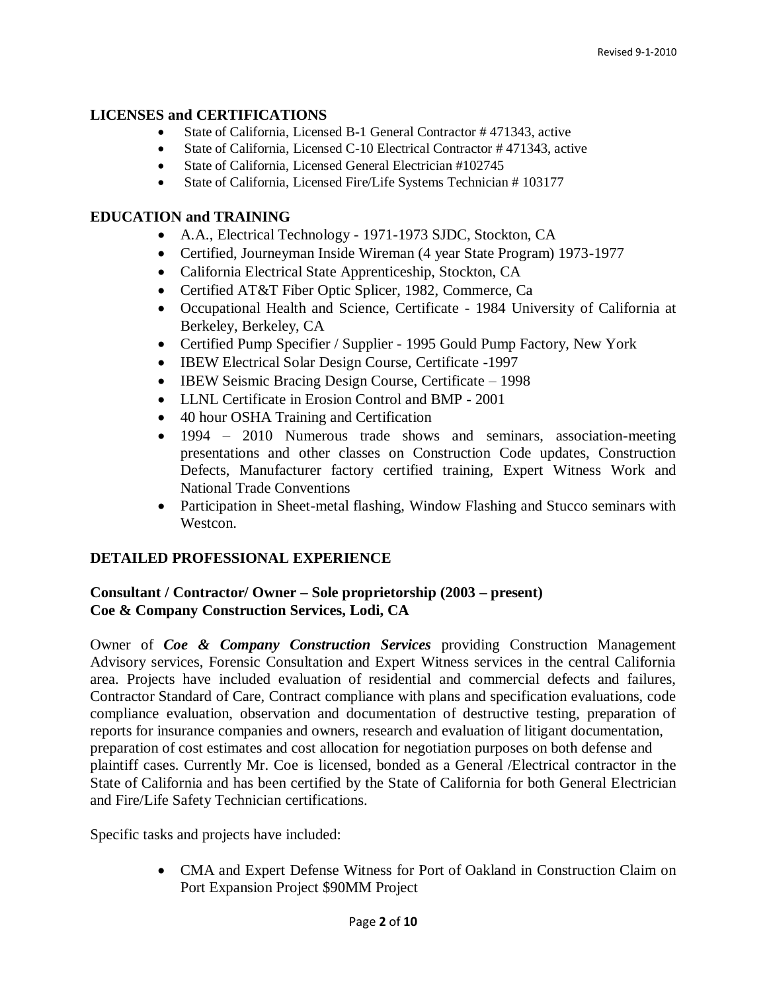### **LICENSES and CERTIFICATIONS**

- State of California, Licensed B-1 General Contractor # 471343, active
- State of California, Licensed C-10 Electrical Contractor # 471343, active
- State of California, Licensed General Electrician #102745
- State of California, Licensed Fire/Life Systems Technician # 103177

### **EDUCATION and TRAINING**

- A.A., Electrical Technology 1971-1973 SJDC, Stockton, CA
- Certified, Journeyman Inside Wireman (4 year State Program) 1973-1977
- California Electrical State Apprenticeship, Stockton, CA
- Certified AT&T Fiber Optic Splicer, 1982, Commerce, Ca
- Occupational Health and Science, Certificate 1984 University of California at Berkeley, Berkeley, CA
- Certified Pump Specifier / Supplier 1995 Gould Pump Factory, New York
- IBEW Electrical Solar Design Course, Certificate -1997
- IBEW Seismic Bracing Design Course, Certificate 1998
- LLNL Certificate in Erosion Control and BMP 2001
- 40 hour OSHA Training and Certification
- 1994 2010 Numerous trade shows and seminars, association-meeting presentations and other classes on Construction Code updates, Construction Defects, Manufacturer factory certified training, Expert Witness Work and National Trade Conventions
- Participation in Sheet-metal flashing, Window Flashing and Stucco seminars with Westcon.

## **DETAILED PROFESSIONAL EXPERIENCE**

## **Consultant / Contractor/ Owner – Sole proprietorship (2003 – present) Coe & Company Construction Services, Lodi, CA**

Owner of *Coe & Company Construction Services* providing Construction Management Advisory services, Forensic Consultation and Expert Witness services in the central California area. Projects have included evaluation of residential and commercial defects and failures, Contractor Standard of Care, Contract compliance with plans and specification evaluations, code compliance evaluation, observation and documentation of destructive testing, preparation of reports for insurance companies and owners, research and evaluation of litigant documentation, preparation of cost estimates and cost allocation for negotiation purposes on both defense and plaintiff cases. Currently Mr. Coe is licensed, bonded as a General /Electrical contractor in the State of California and has been certified by the State of California for both General Electrician and Fire/Life Safety Technician certifications.

Specific tasks and projects have included:

 CMA and Expert Defense Witness for Port of Oakland in Construction Claim on Port Expansion Project \$90MM Project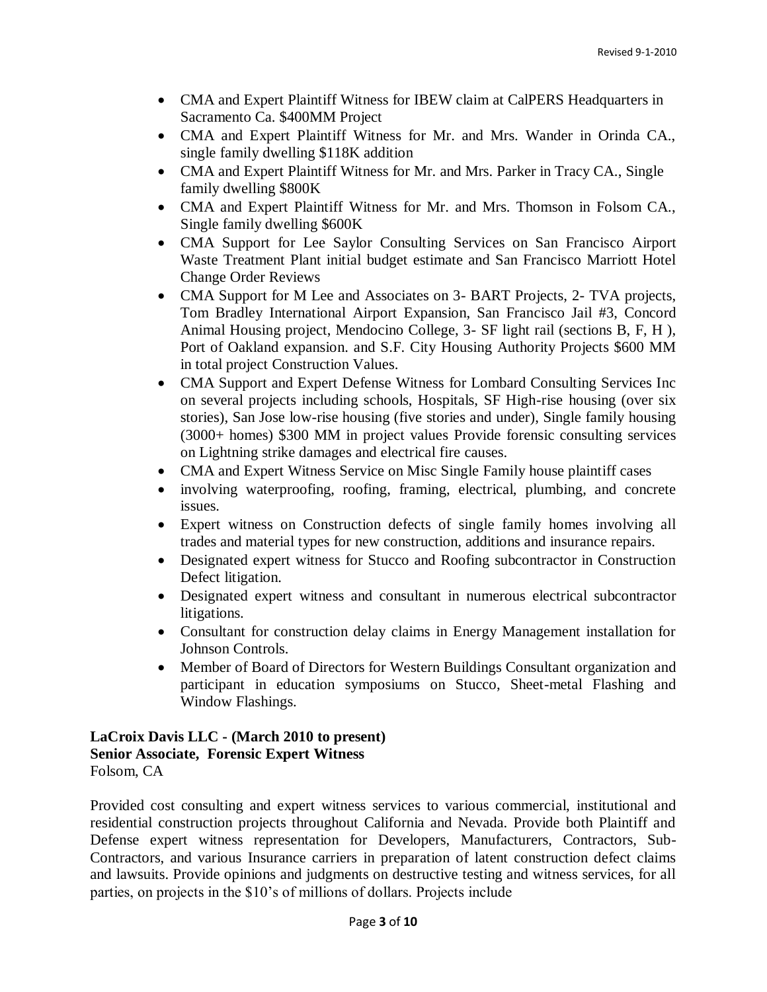- CMA and Expert Plaintiff Witness for IBEW claim at CalPERS Headquarters in Sacramento Ca. \$400MM Project
- CMA and Expert Plaintiff Witness for Mr. and Mrs. Wander in Orinda CA., single family dwelling \$118K addition
- CMA and Expert Plaintiff Witness for Mr. and Mrs. Parker in Tracy CA., Single family dwelling \$800K
- CMA and Expert Plaintiff Witness for Mr. and Mrs. Thomson in Folsom CA., Single family dwelling \$600K
- CMA Support for Lee Saylor Consulting Services on San Francisco Airport Waste Treatment Plant initial budget estimate and San Francisco Marriott Hotel Change Order Reviews
- CMA Support for M Lee and Associates on 3- BART Projects, 2- TVA projects, Tom Bradley International Airport Expansion, San Francisco Jail #3, Concord Animal Housing project, Mendocino College, 3- SF light rail (sections B, F, H ), Port of Oakland expansion. and S.F. City Housing Authority Projects \$600 MM in total project Construction Values.
- CMA Support and Expert Defense Witness for Lombard Consulting Services Inc on several projects including schools, Hospitals, SF High-rise housing (over six stories), San Jose low-rise housing (five stories and under), Single family housing (3000+ homes) \$300 MM in project values Provide forensic consulting services on Lightning strike damages and electrical fire causes.
- CMA and Expert Witness Service on Misc Single Family house plaintiff cases
- involving waterproofing, roofing, framing, electrical, plumbing, and concrete issues.
- Expert witness on Construction defects of single family homes involving all trades and material types for new construction, additions and insurance repairs.
- Designated expert witness for Stucco and Roofing subcontractor in Construction Defect litigation.
- Designated expert witness and consultant in numerous electrical subcontractor litigations.
- Consultant for construction delay claims in Energy Management installation for Johnson Controls.
- Member of Board of Directors for Western Buildings Consultant organization and participant in education symposiums on Stucco, Sheet-metal Flashing and Window Flashings.

#### **LaCroix Davis LLC - (March 2010 to present) Senior Associate, Forensic Expert Witness** Folsom, CA

Provided cost consulting and expert witness services to various commercial, institutional and residential construction projects throughout California and Nevada. Provide both Plaintiff and Defense expert witness representation for Developers, Manufacturers, Contractors, Sub-Contractors, and various Insurance carriers in preparation of latent construction defect claims and lawsuits. Provide opinions and judgments on destructive testing and witness services, for all parties, on projects in the \$10's of millions of dollars. Projects include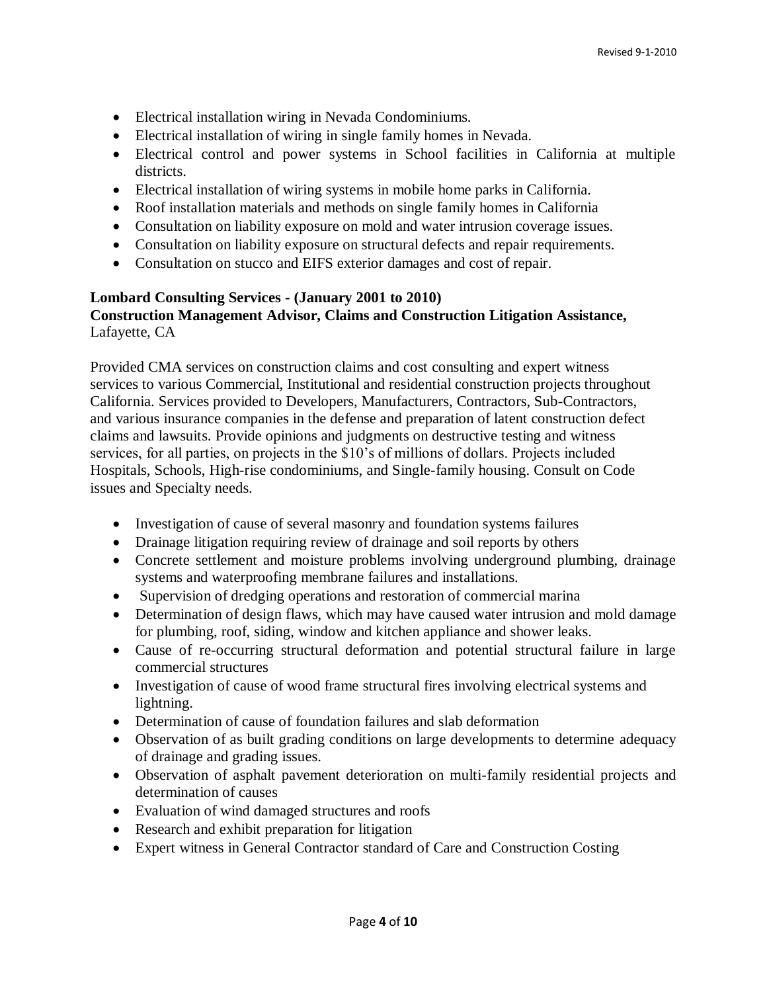- Electrical installation wiring in Nevada Condominiums.
- Electrical installation of wiring in single family homes in Nevada.
- Electrical control and power systems in School facilities in California at multiple districts.
- Electrical installation of wiring systems in mobile home parks in California.
- Roof installation materials and methods on single family homes in California
- Consultation on liability exposure on mold and water intrusion coverage issues.
- Consultation on liability exposure on structural defects and repair requirements.
- Consultation on stucco and EIFS exterior damages and cost of repair.

## **Lombard Consulting Services - (January 2001 to 2010) Construction Management Advisor, Claims and Construction Litigation Assistance,** Lafayette, CA

Provided CMA services on construction claims and cost consulting and expert witness services to various Commercial, Institutional and residential construction projects throughout California. Services provided to Developers, Manufacturers, Contractors, Sub-Contractors, and various insurance companies in the defense and preparation of latent construction defect claims and lawsuits. Provide opinions and judgments on destructive testing and witness services, for all parties, on projects in the \$10's of millions of dollars. Projects included Hospitals, Schools, High-rise condominiums, and Single-family housing. Consult on Code issues and Specialty needs.

- Investigation of cause of several masonry and foundation systems failures
- Drainage litigation requiring review of drainage and soil reports by others
- Concrete settlement and moisture problems involving underground plumbing, drainage systems and waterproofing membrane failures and installations.
- Supervision of dredging operations and restoration of commercial marina
- Determination of design flaws, which may have caused water intrusion and mold damage for plumbing, roof, siding, window and kitchen appliance and shower leaks.
- Cause of re-occurring structural deformation and potential structural failure in large commercial structures
- Investigation of cause of wood frame structural fires involving electrical systems and lightning.
- Determination of cause of foundation failures and slab deformation
- Observation of as built grading conditions on large developments to determine adequacy of drainage and grading issues.
- Observation of asphalt pavement deterioration on multi-family residential projects and determination of causes
- Evaluation of wind damaged structures and roofs
- Research and exhibit preparation for litigation
- Expert witness in General Contractor standard of Care and Construction Costing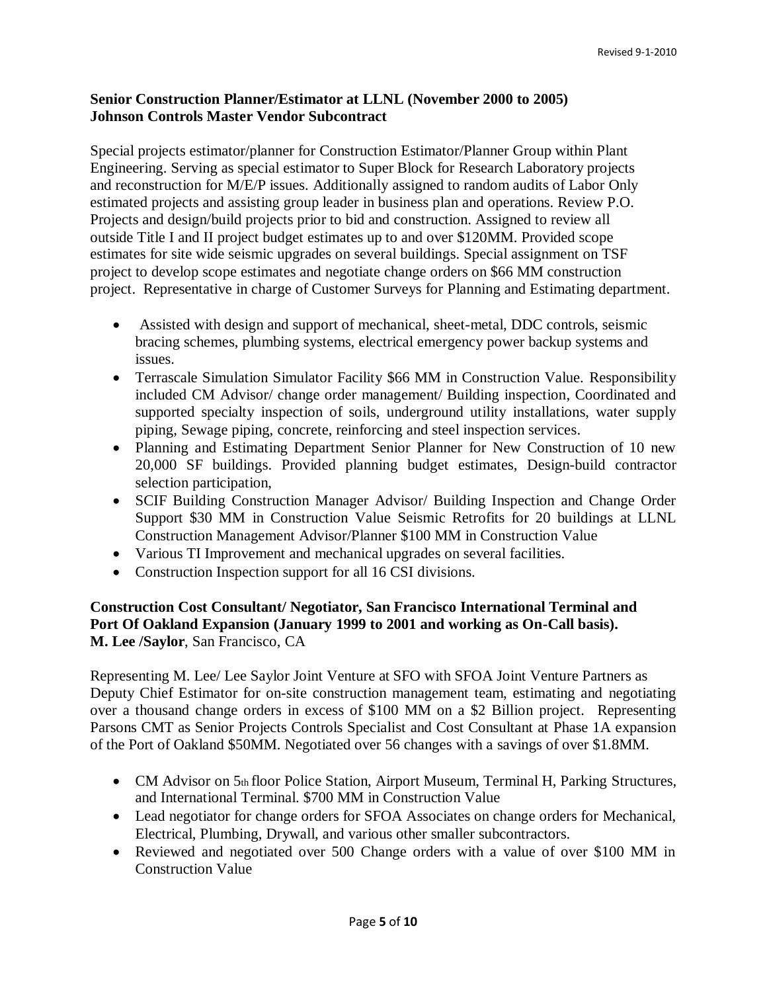## **Senior Construction Planner/Estimator at LLNL (November 2000 to 2005) Johnson Controls Master Vendor Subcontract**

Special projects estimator/planner for Construction Estimator/Planner Group within Plant Engineering. Serving as special estimator to Super Block for Research Laboratory projects and reconstruction for M/E/P issues. Additionally assigned to random audits of Labor Only estimated projects and assisting group leader in business plan and operations. Review P.O. Projects and design/build projects prior to bid and construction. Assigned to review all outside Title I and II project budget estimates up to and over \$120MM. Provided scope estimates for site wide seismic upgrades on several buildings. Special assignment on TSF project to develop scope estimates and negotiate change orders on \$66 MM construction project. Representative in charge of Customer Surveys for Planning and Estimating department.

- Assisted with design and support of mechanical, sheet-metal, DDC controls, seismic bracing schemes, plumbing systems, electrical emergency power backup systems and issues.
- Terrascale Simulation Simulator Facility \$66 MM in Construction Value. Responsibility included CM Advisor/ change order management/ Building inspection, Coordinated and supported specialty inspection of soils, underground utility installations, water supply piping, Sewage piping, concrete, reinforcing and steel inspection services.
- Planning and Estimating Department Senior Planner for New Construction of 10 new 20,000 SF buildings. Provided planning budget estimates, Design-build contractor selection participation,
- SCIF Building Construction Manager Advisor/ Building Inspection and Change Order Support \$30 MM in Construction Value Seismic Retrofits for 20 buildings at LLNL Construction Management Advisor/Planner \$100 MM in Construction Value
- Various TI Improvement and mechanical upgrades on several facilities.
- Construction Inspection support for all 16 CSI divisions.

## **Construction Cost Consultant/ Negotiator, San Francisco International Terminal and Port Of Oakland Expansion (January 1999 to 2001 and working as On-Call basis). M. Lee /Saylor**, San Francisco, CA

Representing M. Lee/ Lee Saylor Joint Venture at SFO with SFOA Joint Venture Partners as Deputy Chief Estimator for on-site construction management team, estimating and negotiating over a thousand change orders in excess of \$100 MM on a \$2 Billion project. Representing Parsons CMT as Senior Projects Controls Specialist and Cost Consultant at Phase 1A expansion of the Port of Oakland \$50MM. Negotiated over 56 changes with a savings of over \$1.8MM.

- CM Advisor on 5th floor Police Station, Airport Museum, Terminal H, Parking Structures, and International Terminal. \$700 MM in Construction Value
- Lead negotiator for change orders for SFOA Associates on change orders for Mechanical, Electrical, Plumbing, Drywall, and various other smaller subcontractors.
- Reviewed and negotiated over 500 Change orders with a value of over \$100 MM in Construction Value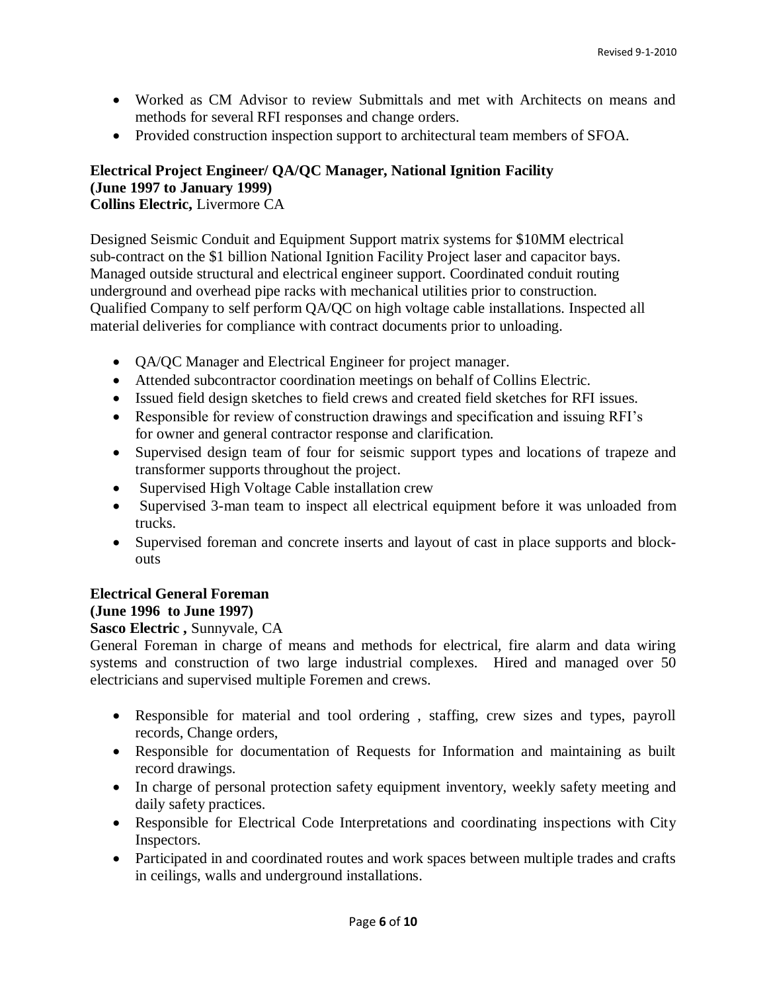- Worked as CM Advisor to review Submittals and met with Architects on means and methods for several RFI responses and change orders.
- Provided construction inspection support to architectural team members of SFOA.

### **Electrical Project Engineer/ QA/QC Manager, National Ignition Facility (June 1997 to January 1999)**

**Collins Electric,** Livermore CA

Designed Seismic Conduit and Equipment Support matrix systems for \$10MM electrical sub-contract on the \$1 billion National Ignition Facility Project laser and capacitor bays. Managed outside structural and electrical engineer support. Coordinated conduit routing underground and overhead pipe racks with mechanical utilities prior to construction. Qualified Company to self perform QA/QC on high voltage cable installations. Inspected all material deliveries for compliance with contract documents prior to unloading.

- QA/QC Manager and Electrical Engineer for project manager.
- Attended subcontractor coordination meetings on behalf of Collins Electric.
- Issued field design sketches to field crews and created field sketches for RFI issues.
- Responsible for review of construction drawings and specification and issuing RFI's for owner and general contractor response and clarification.
- Supervised design team of four for seismic support types and locations of trapeze and transformer supports throughout the project.
- Supervised High Voltage Cable installation crew
- Supervised 3-man team to inspect all electrical equipment before it was unloaded from trucks.
- Supervised foreman and concrete inserts and layout of cast in place supports and blockouts

## **Electrical General Foreman**

## **(June 1996 to June 1997)**

## **Sasco Electric ,** Sunnyvale, CA

General Foreman in charge of means and methods for electrical, fire alarm and data wiring systems and construction of two large industrial complexes. Hired and managed over 50 electricians and supervised multiple Foremen and crews.

- Responsible for material and tool ordering , staffing, crew sizes and types, payroll records, Change orders,
- Responsible for documentation of Requests for Information and maintaining as built record drawings.
- In charge of personal protection safety equipment inventory, weekly safety meeting and daily safety practices.
- Responsible for Electrical Code Interpretations and coordinating inspections with City Inspectors.
- Participated in and coordinated routes and work spaces between multiple trades and crafts in ceilings, walls and underground installations.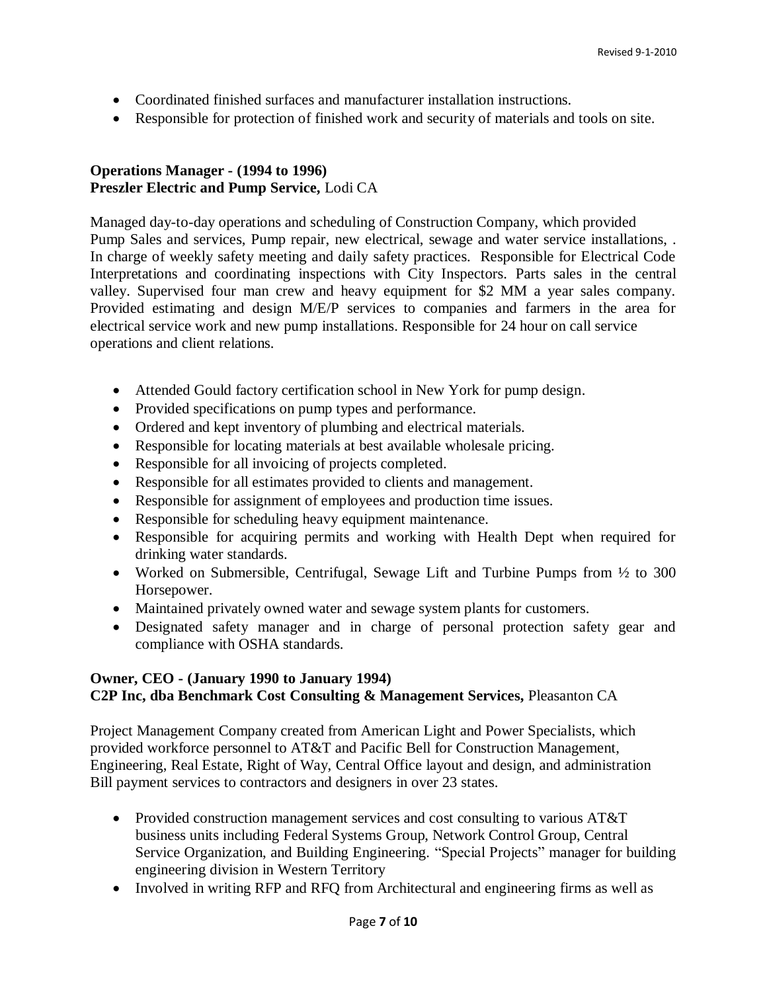- Coordinated finished surfaces and manufacturer installation instructions.
- Responsible for protection of finished work and security of materials and tools on site.

## **Operations Manager - (1994 to 1996) Preszler Electric and Pump Service,** Lodi CA

Managed day-to-day operations and scheduling of Construction Company, which provided Pump Sales and services, Pump repair, new electrical, sewage and water service installations, . In charge of weekly safety meeting and daily safety practices. Responsible for Electrical Code Interpretations and coordinating inspections with City Inspectors. Parts sales in the central valley. Supervised four man crew and heavy equipment for \$2 MM a year sales company. Provided estimating and design M/E/P services to companies and farmers in the area for electrical service work and new pump installations. Responsible for 24 hour on call service operations and client relations.

- Attended Gould factory certification school in New York for pump design.
- Provided specifications on pump types and performance.
- Ordered and kept inventory of plumbing and electrical materials.
- Responsible for locating materials at best available wholesale pricing.
- Responsible for all invoicing of projects completed.
- Responsible for all estimates provided to clients and management.
- Responsible for assignment of employees and production time issues.
- Responsible for scheduling heavy equipment maintenance.
- Responsible for acquiring permits and working with Health Dept when required for drinking water standards.
- Worked on Submersible, Centrifugal, Sewage Lift and Turbine Pumps from ½ to 300 Horsepower.
- Maintained privately owned water and sewage system plants for customers.
- Designated safety manager and in charge of personal protection safety gear and compliance with OSHA standards.

## **Owner, CEO - (January 1990 to January 1994) C2P Inc, dba Benchmark Cost Consulting & Management Services,** Pleasanton CA

Project Management Company created from American Light and Power Specialists, which provided workforce personnel to AT&T and Pacific Bell for Construction Management, Engineering, Real Estate, Right of Way, Central Office layout and design, and administration Bill payment services to contractors and designers in over 23 states.

- Provided construction management services and cost consulting to various AT&T business units including Federal Systems Group, Network Control Group, Central Service Organization, and Building Engineering. "Special Projects" manager for building engineering division in Western Territory
- Involved in writing RFP and RFQ from Architectural and engineering firms as well as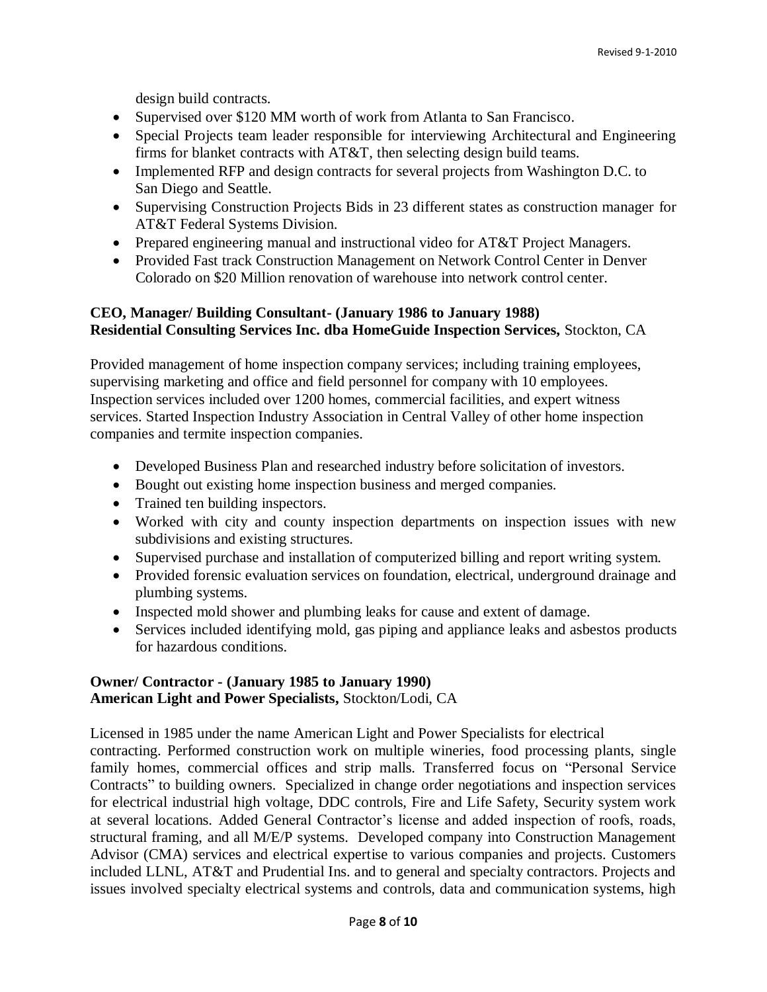design build contracts.

- Supervised over \$120 MM worth of work from Atlanta to San Francisco.
- Special Projects team leader responsible for interviewing Architectural and Engineering firms for blanket contracts with AT&T, then selecting design build teams.
- Implemented RFP and design contracts for several projects from Washington D.C. to San Diego and Seattle.
- Supervising Construction Projects Bids in 23 different states as construction manager for AT&T Federal Systems Division.
- Prepared engineering manual and instructional video for AT&T Project Managers.
- Provided Fast track Construction Management on Network Control Center in Denver Colorado on \$20 Million renovation of warehouse into network control center.

# **CEO, Manager/ Building Consultant- (January 1986 to January 1988) Residential Consulting Services Inc. dba HomeGuide Inspection Services,** Stockton, CA

Provided management of home inspection company services; including training employees, supervising marketing and office and field personnel for company with 10 employees. Inspection services included over 1200 homes, commercial facilities, and expert witness services. Started Inspection Industry Association in Central Valley of other home inspection companies and termite inspection companies.

- Developed Business Plan and researched industry before solicitation of investors.
- Bought out existing home inspection business and merged companies.
- Trained ten building inspectors.
- Worked with city and county inspection departments on inspection issues with new subdivisions and existing structures.
- Supervised purchase and installation of computerized billing and report writing system.
- Provided forensic evaluation services on foundation, electrical, underground drainage and plumbing systems.
- Inspected mold shower and plumbing leaks for cause and extent of damage.
- Services included identifying mold, gas piping and appliance leaks and asbestos products for hazardous conditions.

## **Owner/ Contractor - (January 1985 to January 1990) American Light and Power Specialists,** Stockton/Lodi, CA

Licensed in 1985 under the name American Light and Power Specialists for electrical contracting. Performed construction work on multiple wineries, food processing plants, single family homes, commercial offices and strip malls. Transferred focus on "Personal Service Contracts" to building owners. Specialized in change order negotiations and inspection services for electrical industrial high voltage, DDC controls, Fire and Life Safety, Security system work at several locations. Added General Contractor's license and added inspection of roofs, roads, structural framing, and all M/E/P systems. Developed company into Construction Management Advisor (CMA) services and electrical expertise to various companies and projects. Customers included LLNL, AT&T and Prudential Ins. and to general and specialty contractors. Projects and issues involved specialty electrical systems and controls, data and communication systems, high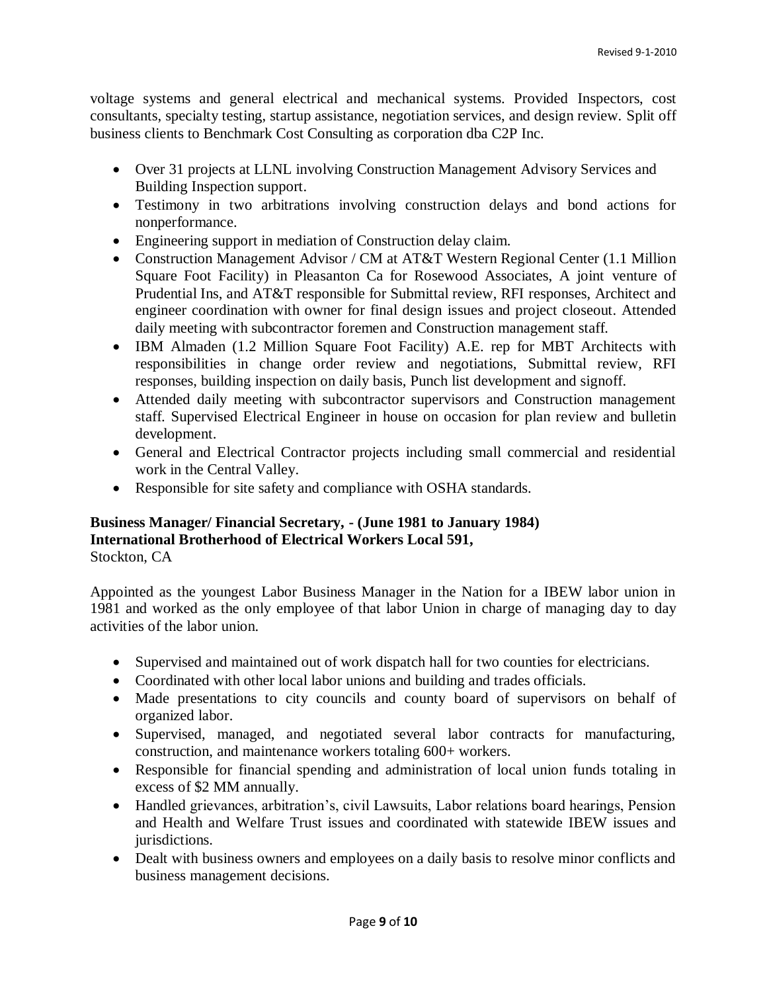voltage systems and general electrical and mechanical systems. Provided Inspectors, cost consultants, specialty testing, startup assistance, negotiation services, and design review. Split off business clients to Benchmark Cost Consulting as corporation dba C2P Inc.

- Over 31 projects at LLNL involving Construction Management Advisory Services and Building Inspection support.
- Testimony in two arbitrations involving construction delays and bond actions for nonperformance.
- Engineering support in mediation of Construction delay claim.
- Construction Management Advisor / CM at AT&T Western Regional Center (1.1 Million Square Foot Facility) in Pleasanton Ca for Rosewood Associates, A joint venture of Prudential Ins, and AT&T responsible for Submittal review, RFI responses, Architect and engineer coordination with owner for final design issues and project closeout. Attended daily meeting with subcontractor foremen and Construction management staff.
- IBM Almaden (1.2 Million Square Foot Facility) A.E. rep for MBT Architects with responsibilities in change order review and negotiations, Submittal review, RFI responses, building inspection on daily basis, Punch list development and signoff.
- Attended daily meeting with subcontractor supervisors and Construction management staff. Supervised Electrical Engineer in house on occasion for plan review and bulletin development.
- General and Electrical Contractor projects including small commercial and residential work in the Central Valley.
- Responsible for site safety and compliance with OSHA standards.

# **Business Manager/ Financial Secretary, - (June 1981 to January 1984) International Brotherhood of Electrical Workers Local 591,**

Stockton, CA

Appointed as the youngest Labor Business Manager in the Nation for a IBEW labor union in 1981 and worked as the only employee of that labor Union in charge of managing day to day activities of the labor union.

- Supervised and maintained out of work dispatch hall for two counties for electricians.
- Coordinated with other local labor unions and building and trades officials.
- Made presentations to city councils and county board of supervisors on behalf of organized labor.
- Supervised, managed, and negotiated several labor contracts for manufacturing, construction, and maintenance workers totaling 600+ workers.
- Responsible for financial spending and administration of local union funds totaling in excess of \$2 MM annually.
- Handled grievances, arbitration's, civil Lawsuits, Labor relations board hearings, Pension and Health and Welfare Trust issues and coordinated with statewide IBEW issues and jurisdictions.
- Dealt with business owners and employees on a daily basis to resolve minor conflicts and business management decisions.